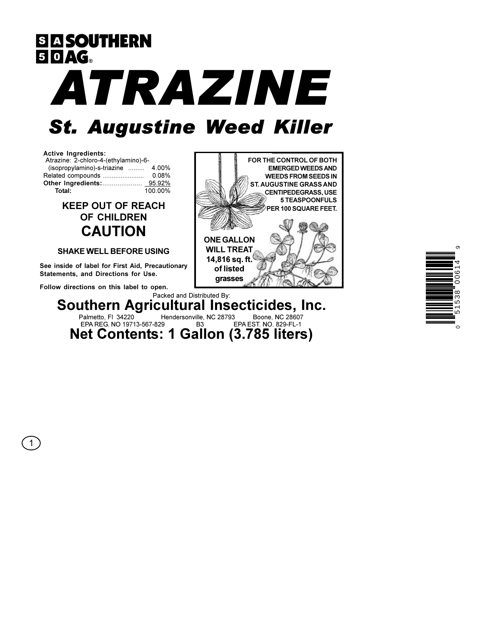**SIA SOUTHERN 50AG** ATRAZINE **St. Augustine Weed Killer** 



 $\mathbf{1}$ 

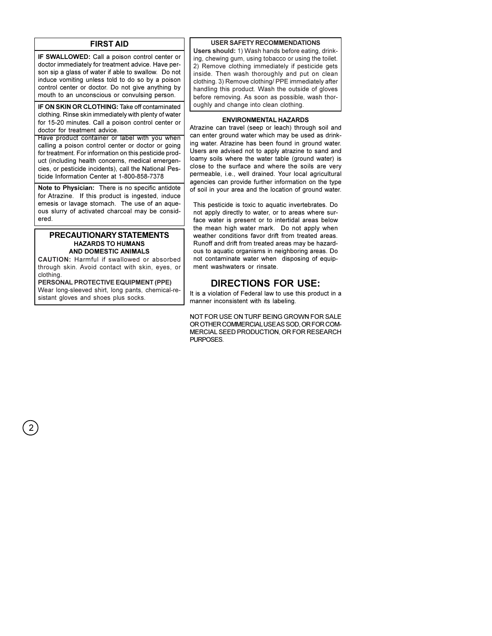# **FIRST AID**

IF SWALLOWED: Call a poison control center or doctor immediately for treatment advice. Have person sip a glass of water if able to swallow. Do not induce vomiting unless told to do so by a poison control center or doctor. Do not give anything by mouth to an unconscious or convulsing person.

IF ON SKIN OR CLOTHING: Take off contaminated clothing. Rinse skin immediately with plenty of water for 15-20 minutes. Call a poison control center or doctor for treatment advice.

Have product container or label with you when calling a poison control center or doctor or going for treatment. For information on this pesticide product (including health concerns, medical emergencies, or pesticide incidents), call the National Pesticide Information Center at 1-800-858-7378

Note to Physician: There is no specific antidote for Atrazine. If this product is ingested, induce emesis or lavage stomach. The use of an aqueous slurry of activated charcoal may be considered.

## PRECAUTIONARY STATEMENTS **HAZARDS TO HUMANS** AND DOMESTIC ANIMALS

**CAUTION:** Harmful if swallowed or absorbed through skin. Avoid contact with skin, eyes, or clothing

PERSONAL PROTECTIVE EQUIPMENT (PPE) Wear long-sleeved shirt, long pants, chemical-resistant gloves and shoes plus socks.

## **USER SAFETY RECOMMENDATIONS**

Users should: 1) Wash hands before eating, drinking, chewing gum, using tobacco or using the toilet. 2) Remove clothing immediately if pesticide gets inside. Then wash thoroughly and put on clean clothing. 3) Remove clothing/ PPE immediately after handling this product. Wash the outside of gloves before removing. As soon as possible, wash thoroughly and change into clean clothing.

## **ENVIRONMENTAL HAZARDS**

Atrazine can travel (seep or leach) through soil and can enter ground water which may be used as drinking water. Atrazine has been found in ground water. Users are advised not to apply atrazine to sand and loamy soils where the water table (ground water) is close to the surface and where the soils are very permeable, i.e., well drained. Your local agricultural agencies can provide further information on the type of soil in your area and the location of ground water.

This pesticide is toxic to aquatic invertebrates. Do not apply directly to water, or to areas where surface water is present or to intertidal areas below the mean high water mark. Do not apply when weather conditions favor drift from treated areas. Runoff and drift from treated areas may be hazardous to aquatic organisms in neighboring areas. Do not contaminate water when disposing of equipment washwaters or rinsate

# **DIRECTIONS FOR USE:**

It is a violation of Federal law to use this product in a manner inconsistent with its labeling.

NOT FOR USE ON TURF BEING GROWN FOR SALE OR OTHER COMMERCIAL USE AS SOD. OR FOR COM-MERCIAL SEED PRODUCTION, OR FOR RESEARCH PURPOSES.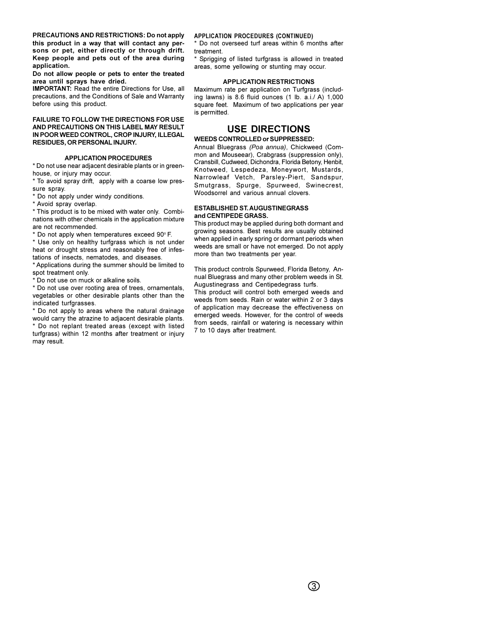this product in a way that will contact any persons or pet, either directly or through drift. Keep people and pets out of the area during application.

#### Do not allow people or pets to enter the treated area until sprays have dried.

**IMPORTANT:** Read the entire Directions for Use, all precautions, and the Conditions of Sale and Warranty before using this product.

**FAILURE TO FOLLOW THE DIRECTIONS FOR USE AND PRECAUTIONS ON THIS LABEL MAY RESULT IN POOR WEED CONTROL, CROP INJURY, ILLEGAL RESIDUES, OR PERSONAL INJURY.** 

### **APPLICATION PROCEDURES**

\* Do not use near adjacent desirable plants or in greenhouse, or injury may occur.

\* To avoid spray drift, apply with a coarse low pressure spray.

\* Do not apply under windy conditions.

\* Avoid spray overlap.

\* This product is to be mixed with water only. Combinations with other chemicals in the application mixture are not recommended.

\* Do not apply when temperatures exceed 90°F.

\* Use only on healthy turfgrass which is not under heat or drought stress and reasonably free of infestations of insects, nematodes, and diseases.

\* Applications during the summer should be limited to spot treatment only.

\* Do not use on muck or alkaline soils.

\* Do not use over rooting area of trees, ornamentals, vegetables or other desirable plants other than the indicated turfgrasses.

\* Do not apply to areas where the natural drainage would carry the atrazine to adjacent desirable plants. \* Do not replant treated areas (except with listed turfgrass) within 12 months after treatment or injury may result.

#### **APPLICATION PROCEDURES (CONTINUED)**

\* Do not overseed turf areas within 6 months after treatment.

\* Sprigging of listed turfgrass is allowed in treated areas, some yellowing or stunting may occur.

#### **APPLICATION RESTRICTIONS**

Maximum rate per application on Turfgrass (including lawns) is 8.6 fluid ounces (1 lb. a.i./ A) 1,000 square feet. Maximum of two applications per year is permitted.

# **USE DIRECTIONS**

## **WEEDS CONTROLLED or SUPPRESSED:**

**PRECAUTIONS AND RESTRICTIONS:** APPENDING A protocollapsis (b) and a state of the set of the set of the set of the set of the set of the set of the set of the set of the set of the set of the set of the set of the set of t Annual Bluegrass (Poa annua), Chickweed (Common and Mouseear), Crabgrass (suppression only), Cransbill, Cudweed, Dichondra, Florida Betony, Henbit, Knotweed, Lespedeza, Moneywort, Mustards, Narrowleaf Vetch, Parsley-Piert, Sandspur, Smutgrass, Spurge, Spurweed, Swinecrest, Woodsorrel and various annual clovers.

## **ESTABLISHED ST. AUGUSTINEGRASS** and CENTIPEDE GRASS.

This product may be applied during both dormant and growing seasons. Best results are usually obtained when applied in early spring or dormant periods when weeds are small or have not emerged. Do not apply more than two treatments per year.

This product controls Spurweed, Florida Betony, Annual Bluegrass and many other problem weeds in St. Augustinegrass and Centipedegrass turfs.

This product will control both emerged weeds and weeds from seeds. Rain or water within 2 or 3 days of application may decrease the effectiveness on emerged weeds. However, for the control of weeds from seeds, rainfall or watering is necessary within 7 to 10 days after treatment.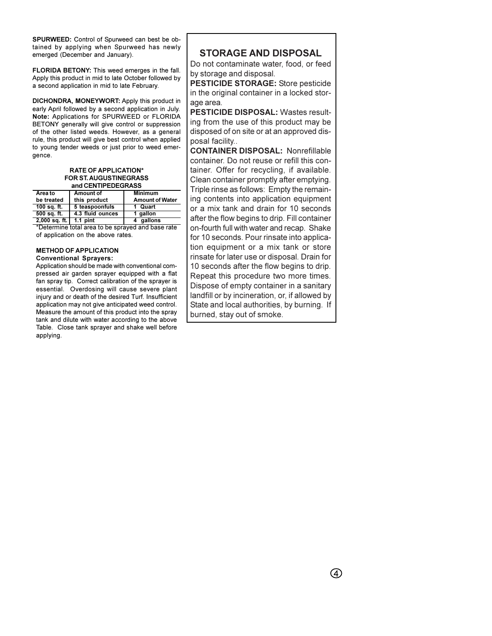SPURWEED: Control of Spurweed can best be obtained by applying when Spurweed has newly emerged (December and January).

FLORIDA BETONY: This weed emerges in the fall. Apply this product in mid to late October followed by a second application in mid to late February.

DICHONDRA, MONEYWORT: Apply this product in early April followed by a second application in July. Note: Applications for SPURWEED or FLORIDA BETONY generally will give control or suppression of the other listed weeds. However, as a general rule, this product will give best control when applied to young tender weeds or just prior to weed emergence.

#### **RATE OF APPLICATION\*** FOR ST. AUGUSTINEGRASS and CENTIPEDEGRASS

| Area to                    | Amount of        | <b>Minimum</b>         |
|----------------------------|------------------|------------------------|
| be treated                 | this product     | <b>Amount of Water</b> |
| 100 sq. ft.                | 5 teaspoonfuls   | 1 Quart                |
| 500 sq. ft.                | 4.3 fluid ounces | 1 gallon               |
| $2,000$ sq. ft.   1.1 pint |                  | qallons                |

\*Determine total area to be sprayed and base rate of application on the above rates.

**METHOD OF APPLICATION Conventional Sprayers:** 

Application should be made with conventional compressed air garden sprayer equipped with a flat fan spray tip. Correct calibration of the sprayer is essential. Overdosing will cause severe plant injury and or death of the desired Turf. Insufficient application may not give anticipated weed control. Measure the amount of this product into the spray tank and dilute with water according to the above Table. Close tank sprayer and shake well before applying.

# **STORAGE AND DISPOSAL**

Do not contaminate water, food, or feed by storage and disposal.

**PESTICIDE STORAGE:** Store pesticide in the original container in a locked storage area.

**PESTICIDE DISPOSAL: Wastes result**ing from the use of this product may be disposed of on site or at an approved disposal facility...

**CONTAINER DISPOSAL: Nonrefillable** container. Do not reuse or refill this container. Offer for recycling, if available. Clean container promptly after emptying. Triple rinse as follows: Empty the remaining contents into application equipment or a mix tank and drain for 10 seconds after the flow begins to drip. Fill container on-fourth full with water and recap. Shake for 10 seconds. Pour rinsate into application equipment or a mix tank or store rinsate for later use or disposal. Drain for 10 seconds after the flow begins to drip. Repeat this procedure two more times. Dispose of empty container in a sanitary landfill or by incineration, or, if allowed by State and local authorities, by burning. If burned, stay out of smoke.